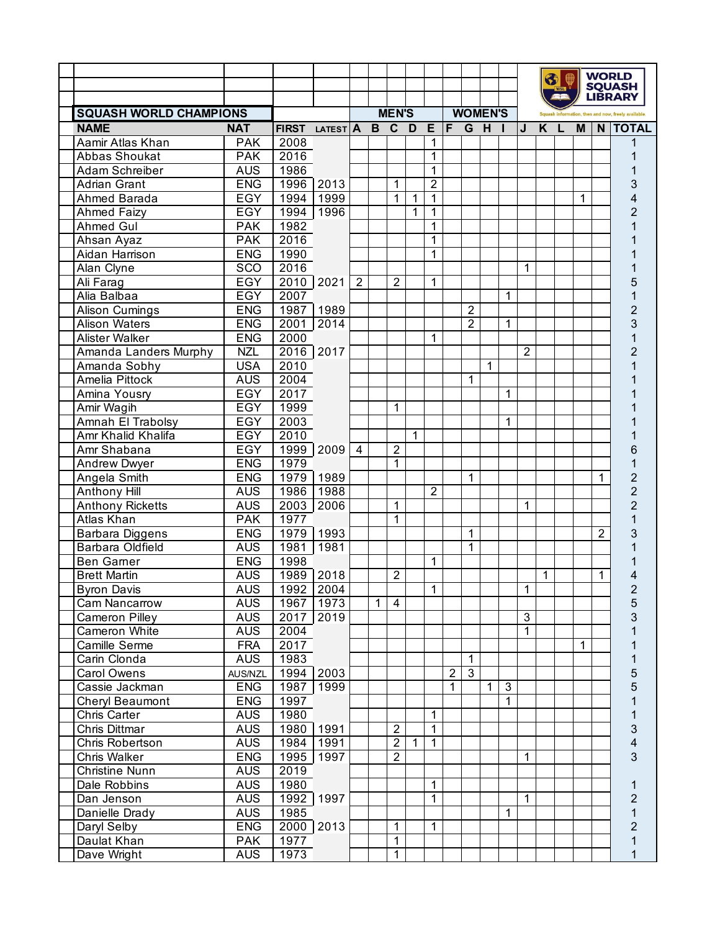|                                              |                          |                |              |                |              |                                  |              |                     |                |                |                |                |                | 6 |   |   |   | <b>WORLD</b>                    |
|----------------------------------------------|--------------------------|----------------|--------------|----------------|--------------|----------------------------------|--------------|---------------------|----------------|----------------|----------------|----------------|----------------|---|---|---|---|---------------------------------|
|                                              |                          |                |              |                |              |                                  |              |                     |                |                |                |                |                |   |   |   |   | <b>SQUASH</b><br><b>LIBRARY</b> |
|                                              |                          |                |              |                |              |                                  | <b>MEN'S</b> |                     |                |                | <b>WOMEN'S</b> |                |                |   |   |   |   |                                 |
| <b>SQUASH WORLD CHAMPIONS</b><br><b>NAME</b> | <b>NAT</b>               | FIRST LATEST A |              |                |              | B C D                            |              | E                   | IF.            | G H            |                | п              | J              | K | L | M |   | N   TOTAL                       |
| Aamir Atlas Khan                             | <b>PAK</b>               | 2008           |              |                |              |                                  |              | $\mathbf 1$         |                |                |                |                |                |   |   |   |   |                                 |
| Abbas Shoukat                                | <b>PAK</b>               | 2016           |              |                |              |                                  |              | 1                   |                |                |                |                |                |   |   |   |   |                                 |
| Adam Schreiber                               | <b>AUS</b>               | 1986           |              |                |              |                                  |              | 1                   |                |                |                |                |                |   |   |   |   |                                 |
| Adrian Grant                                 | <b>ENG</b>               | 1996           | 2013         |                |              | 1                                |              | $\overline{2}$      |                |                |                |                |                |   |   |   |   | 3                               |
| Ahmed Barada                                 | <b>EGY</b>               | 1994           | 1999         |                |              | 1                                | 1            | 1                   |                |                |                |                |                |   |   | 1 |   | 4                               |
| <b>Ahmed Faizy</b>                           | EGY                      | 1994           | 1996         |                |              |                                  | 1            | 1                   |                |                |                |                |                |   |   |   |   | $\overline{2}$                  |
| Ahmed Gul                                    | <b>PAK</b>               | 1982           |              |                |              |                                  |              | 1                   |                |                |                |                |                |   |   |   |   |                                 |
| Ahsan Ayaz                                   | <b>PAK</b>               | 2016           |              |                |              |                                  |              | 1                   |                |                |                |                |                |   |   |   |   |                                 |
| Aidan Harrison                               | <b>ENG</b>               | 1990           |              |                |              |                                  |              | $\mathbf{1}$        |                |                |                |                |                |   |   |   |   |                                 |
| Alan Clyne                                   | SCO                      | 2016           |              |                |              |                                  |              |                     |                |                |                |                | 1              |   |   |   |   |                                 |
| Ali Farag                                    | <b>EGY</b>               | 2010 2021      |              | $\overline{2}$ |              | $\overline{2}$                   |              | 1                   |                |                |                |                |                |   |   |   |   | 5                               |
| Alia Balbaa                                  | <b>EGY</b>               | 2007           |              |                |              |                                  |              |                     |                |                |                | 1              |                |   |   |   |   |                                 |
| Alison Cumings                               | <b>ENG</b>               | 1987 1989      |              |                |              |                                  |              |                     |                | $\overline{2}$ |                |                |                |   |   |   |   | $\overline{2}$                  |
| <b>Alison Waters</b>                         | <b>ENG</b>               | 2001           | 2014         |                |              |                                  |              |                     |                | $\overline{2}$ |                | 1              |                |   |   |   |   | 3                               |
| <b>Alister Walker</b>                        | <b>ENG</b>               | 2000           |              |                |              |                                  |              | 1                   |                |                |                |                |                |   |   |   |   |                                 |
| Amanda Landers Murphy                        | <b>NZL</b>               | 2016 2017      |              |                |              |                                  |              |                     |                |                |                |                | $\overline{2}$ |   |   |   |   | 2                               |
| Amanda Sobhy                                 | <b>USA</b>               | 2010           |              |                |              |                                  |              |                     |                |                | 1              |                |                |   |   |   |   |                                 |
| Amelia Pittock                               | <b>AUS</b>               | 2004           |              |                |              |                                  |              |                     |                | 1              |                |                |                |   |   |   |   |                                 |
| Amina Yousry                                 | EGY                      | 2017           |              |                |              |                                  |              |                     |                |                |                | 1              |                |   |   |   |   |                                 |
| Amir Wagih                                   | EGY                      | 1999           |              |                |              | 1                                |              |                     |                |                |                |                |                |   |   |   |   |                                 |
| Amnah El Trabolsy                            | <b>EGY</b>               | 2003           |              |                |              |                                  |              |                     |                |                |                | 1              |                |   |   |   |   |                                 |
| Amr Khalid Khalifa                           | EGY                      | 2010           |              |                |              |                                  | 1            |                     |                |                |                |                |                |   |   |   |   |                                 |
| Amr Shabana                                  | EGY                      | 1999           | 2009         | $\overline{4}$ |              | $\overline{2}$                   |              |                     |                |                |                |                |                |   |   |   |   | 6                               |
| <b>Andrew Dwyer</b>                          | <b>ENG</b>               | 1979           |              |                |              | 1                                |              |                     |                |                |                |                |                |   |   |   |   |                                 |
| Angela Smith                                 | <b>ENG</b>               | 1979           | 1989         |                |              |                                  |              |                     |                | 1              |                |                |                |   |   |   | 1 | $\overline{c}$                  |
| Anthony Hill                                 | <b>AUS</b>               | 1986           | 1988         |                |              |                                  |              | $\overline{2}$      |                |                |                |                |                |   |   |   |   | $\overline{c}$                  |
| <b>Anthony Ricketts</b>                      | <b>AUS</b>               | 2003           | 2006         |                |              | 1                                |              |                     |                |                |                |                | 1              |   |   |   |   | $\overline{2}$                  |
| <b>Atlas Khan</b>                            | <b>PAK</b>               | 1977           |              |                |              | 1                                |              |                     |                |                |                |                |                |   |   |   |   |                                 |
| Barbara Diggens                              | <b>ENG</b>               | 1979           | 1993         |                |              |                                  |              |                     |                | 1              |                |                |                |   |   |   | 2 | 3                               |
| <b>Barbara Oldfield</b>                      | <b>AUS</b>               | 1981           | 1981         |                |              |                                  |              |                     |                | 1              |                |                |                |   |   |   |   |                                 |
| <b>Ben Gamer</b>                             | <b>ENG</b>               | 1998           |              |                |              |                                  |              | 1                   |                |                |                |                |                |   |   |   |   |                                 |
| <b>Brett Martin</b>                          | <b>AUS</b>               | 1989 2018      |              |                |              | $\overline{2}$                   |              |                     |                |                |                |                |                | 1 |   |   | 1 | 4                               |
| <b>Byron Davis</b>                           | <b>AUS</b>               | 1992 2004      |              |                |              |                                  |              | $\overline{1}$      |                |                |                |                | $\overline{1}$ |   |   |   |   | $\overline{\mathbf{c}}$         |
| Cam Nancarrow                                | <b>AUS</b>               | 1967           | 1973         |                | $\mathbf{1}$ | $\overline{4}$                   |              |                     |                |                |                |                |                |   |   |   |   | 5                               |
| Cameron Pilley                               | <b>AUS</b>               | 2017           | 2019         |                |              |                                  |              |                     |                |                |                |                | $\overline{3}$ |   |   |   |   | 3                               |
| Cameron White                                | <b>AUS</b>               | 2004           |              |                |              |                                  |              |                     |                |                |                |                | $\overline{1}$ |   |   |   |   |                                 |
| Camille Serme                                | <b>FRA</b>               | 2017           |              |                |              |                                  |              |                     |                |                |                |                |                |   |   | 1 |   |                                 |
| Carin Clonda                                 | <b>AUS</b>               | 1983           |              |                |              |                                  |              |                     |                | 1              |                |                |                |   |   |   |   | 1                               |
| Carol Owens                                  | AUS/NZL                  | 1994           | 2003         |                |              |                                  |              |                     | $\overline{2}$ | $\overline{3}$ |                |                |                |   |   |   |   | 5                               |
| Cassie Jackman                               | <b>ENG</b>               | 1987           | 1999         |                |              |                                  |              |                     | 1              |                | $\mathbf{1}$   | $\overline{3}$ |                |   |   |   |   | 5                               |
| Cheryl Beaumont                              | <b>ENG</b>               | 1997           |              |                |              |                                  |              |                     |                |                |                | $\mathbf{1}$   |                |   |   |   |   |                                 |
| Chris Carter                                 | <b>AUS</b>               | 1980           |              |                |              |                                  |              | 1<br>$\overline{1}$ |                |                |                |                |                |   |   |   |   |                                 |
| Chris Dittmar                                | <b>AUS</b><br><b>AUS</b> | 1980           | 1991         |                |              | $\overline{2}$<br>$\overline{2}$ | $\mathbf{1}$ | $\mathbf{1}$        |                |                |                |                |                |   |   |   |   | 3                               |
| Chris Robertson                              | <b>ENG</b>               | 1984           | 1991<br>1997 |                |              | $\overline{2}$                   |              |                     |                |                |                |                | $\mathbf{1}$   |   |   |   |   | 4<br>3                          |
| Chris Walker                                 | <b>AUS</b>               | 1995           |              |                |              |                                  |              |                     |                |                |                |                |                |   |   |   |   |                                 |
| Christine Nunn                               | <b>AUS</b>               | 2019<br>1980   |              |                |              |                                  |              | 1                   |                |                |                |                |                |   |   |   |   |                                 |
| Dale Robbins                                 | <b>AUS</b>               | 1992 1997      |              |                |              |                                  |              | $\mathbf{1}$        |                |                |                |                | $\mathbf{1}$   |   |   |   |   | 1                               |
| Dan Jenson<br>Danielle Drady                 | <b>AUS</b>               | 1985           |              |                |              |                                  |              |                     |                |                |                | 1              |                |   |   |   |   | $\overline{c}$<br>1             |
| Daryl Selby                                  | <b>ENG</b>               | $2000$ 2013    |              |                |              | 1                                |              | $\mathbf{1}$        |                |                |                |                |                |   |   |   |   | $\overline{2}$                  |
| Daulat Khan                                  | <b>PAK</b>               | 1977           |              |                |              | 1                                |              |                     |                |                |                |                |                |   |   |   |   | 1                               |
| Dave Wright                                  | <b>AUS</b>               | 1973           |              |                |              | $\mathbf{1}$                     |              |                     |                |                |                |                |                |   |   |   |   |                                 |
|                                              |                          |                |              |                |              |                                  |              |                     |                |                |                |                |                |   |   |   |   |                                 |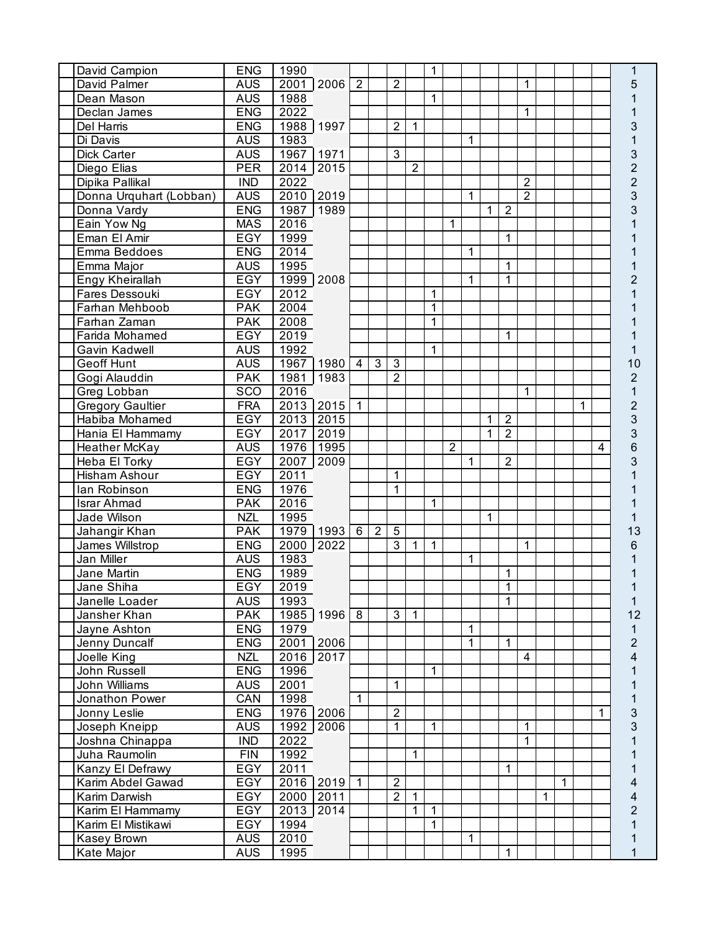| David Campion           | <b>ENG</b> | 1990 |                        |                |                |                |                | 1            |                |              |              |                |                |   |   |   |                         | 1              |
|-------------------------|------------|------|------------------------|----------------|----------------|----------------|----------------|--------------|----------------|--------------|--------------|----------------|----------------|---|---|---|-------------------------|----------------|
| David Palmer            | <b>AUS</b> |      | 2001 2006              | $\overline{2}$ |                | $\overline{2}$ |                |              |                |              |              |                | $\mathbf 1$    |   |   |   |                         | 5              |
| Dean Mason              | <b>AUS</b> | 1988 |                        |                |                |                |                | 1            |                |              |              |                |                |   |   |   |                         |                |
| Declan James            | <b>ENG</b> | 2022 |                        |                |                |                |                |              |                |              |              |                | 1              |   |   |   |                         |                |
| Del Harris              | <b>ENG</b> |      | 1988 1997              |                |                | $\overline{2}$ | $\mathbf 1$    |              |                |              |              |                |                |   |   |   |                         | 3              |
| Di Davis                | <b>AUS</b> | 1983 |                        |                |                |                |                |              |                | $\mathbf{1}$ |              |                |                |   |   |   |                         | $\mathbf{1}$   |
| Dick Carter             | <b>AUS</b> |      | 1967 1971              |                |                | 3              |                |              |                |              |              |                |                |   |   |   |                         | 3              |
| Diego Elias             | <b>PER</b> |      | 2014 2015              |                |                |                | $\overline{2}$ |              |                |              |              |                |                |   |   |   |                         | $\overline{c}$ |
| Dipika Pallikal         | <b>IND</b> | 2022 |                        |                |                |                |                |              |                |              |              |                | $\overline{2}$ |   |   |   |                         | $\overline{c}$ |
|                         |            |      |                        |                |                |                |                |              |                |              |              |                | $\overline{2}$ |   |   |   |                         | 3              |
| Donna Urquhart (Lobban) | <b>AUS</b> |      | 2010 2019              |                |                |                |                |              |                | 1            |              |                |                |   |   |   |                         |                |
| Donna Vardy             | <b>ENG</b> |      | 1987 1989              |                |                |                |                |              |                |              | 1            | $\overline{2}$ |                |   |   |   |                         | 3              |
| Eain Yow Ng             | <b>MAS</b> | 2016 |                        |                |                |                |                |              | 1              |              |              |                |                |   |   |   |                         |                |
| Eman El Amir            | <b>EGY</b> | 1999 |                        |                |                |                |                |              |                |              |              | 1              |                |   |   |   |                         |                |
| Emma Beddoes            | <b>ENG</b> | 2014 |                        |                |                |                |                |              |                | 1            |              |                |                |   |   |   |                         |                |
| Emma Major              | <b>AUS</b> | 1995 |                        |                |                |                |                |              |                |              |              | 1              |                |   |   |   |                         |                |
| Engy Kheirallah         | <b>EGY</b> |      | 1999 2008              |                |                |                |                |              |                | 1            |              | 1              |                |   |   |   |                         | $\overline{2}$ |
| Fares Dessouki          | EGY        | 2012 |                        |                |                |                |                | 1            |                |              |              |                |                |   |   |   |                         |                |
| Farhan Mehboob          | <b>PAK</b> | 2004 |                        |                |                |                |                | 1            |                |              |              |                |                |   |   |   |                         |                |
| Farhan Zaman            | <b>PAK</b> | 2008 |                        |                |                |                |                | 1            |                |              |              |                |                |   |   |   |                         |                |
| Farida Mohamed          | <b>EGY</b> | 2019 |                        |                |                |                |                |              |                |              |              | 1              |                |   |   |   |                         |                |
| Gavin Kadwell           | <b>AUS</b> | 1992 |                        |                |                |                |                | 1            |                |              |              |                |                |   |   |   |                         |                |
| Geoff Hunt              | <b>AUS</b> | 1967 | 1980                   | $\overline{4}$ | $\overline{3}$ | 3              |                |              |                |              |              |                |                |   |   |   |                         | 10             |
| Gogi Alauddin           | <b>PAK</b> | 1981 | 1983                   |                |                | $\overline{2}$ |                |              |                |              |              |                |                |   |   |   |                         | $\overline{2}$ |
| Greg Lobban             | SCO        | 2016 |                        |                |                |                |                |              |                |              |              |                | $\mathbf{1}$   |   |   |   |                         | $\mathbf{1}$   |
| <b>Gregory Gaultier</b> | <b>FRA</b> |      | 2013 2015              | $\mathbf{1}$   |                |                |                |              |                |              |              |                |                |   |   | 1 |                         | $\overline{c}$ |
| Habiba Mohamed          | <b>EGY</b> |      | $20\overline{13}$ 2015 |                |                |                |                |              |                |              | $\mathbf{1}$ | $\overline{2}$ |                |   |   |   |                         | 3              |
| Hania El Hammamy        | <b>EGY</b> | 2017 | 2019                   |                |                |                |                |              |                |              | 1            | $\overline{2}$ |                |   |   |   |                         | 3              |
| Heather McKay           | <b>AUS</b> | 1976 | 1995                   |                |                |                |                |              | $\overline{2}$ |              |              |                |                |   |   |   | $\overline{\mathbf{4}}$ | 6              |
| Heba El Torky           | <b>EGY</b> | 2007 | 2009                   |                |                |                |                |              |                | $\mathbf{1}$ |              | $\overline{2}$ |                |   |   |   |                         | 3              |
| <b>Hisham Ashour</b>    | <b>EGY</b> | 2011 |                        |                |                | 1              |                |              |                |              |              |                |                |   |   |   |                         |                |
| lan Robinson            | <b>ENG</b> | 1976 |                        |                |                | 1              |                |              |                |              |              |                |                |   |   |   |                         |                |
| <b>Israr Ahmad</b>      | <b>PAK</b> | 2016 |                        |                |                |                |                | 1            |                |              |              |                |                |   |   |   |                         |                |
| Jade Wilson             | <b>NZL</b> |      |                        |                |                |                |                |              |                |              | 1            |                |                |   |   |   |                         |                |
|                         |            | 1995 |                        |                |                |                |                |              |                |              |              |                |                |   |   |   |                         |                |
| Jahangir Khan           | <b>PAK</b> |      | 1979 1993              | $6^{\circ}$    | $\overline{2}$ | $\overline{5}$ |                |              |                |              |              |                |                |   |   |   |                         | 13             |
| James Willstrop         | <b>ENG</b> |      | 2000 2022              |                |                | 3              | $\mathbf{1}$   | $\mathbf{1}$ |                |              |              |                | $\mathbf 1$    |   |   |   |                         | 6              |
| Jan Miller              | <b>AUS</b> | 1983 |                        |                |                |                |                |              |                | $\mathbf{1}$ |              |                |                |   |   |   |                         |                |
| Jane Martin             | <b>ENG</b> | 1989 |                        |                |                |                |                |              |                |              |              | 1              |                |   |   |   |                         |                |
| Jane Shiha              | <b>EGY</b> | 2019 |                        |                |                |                |                |              |                |              |              | $\overline{1}$ |                |   |   |   |                         |                |
| Janelle Loader          | <b>AUS</b> | 1993 |                        |                |                |                |                |              |                |              |              | 1              |                |   |   |   |                         | 1              |
| Jansher Khan            | <b>PAK</b> |      | 1985 1996              | $\overline{8}$ |                | 3              | $\mathbf{1}$   |              |                |              |              |                |                |   |   |   |                         | 12             |
| Jayne Ashton            | <b>ENG</b> | 1979 |                        |                |                |                |                |              |                | 1            |              |                |                |   |   |   |                         | 1              |
| Jenny Duncalf           | <b>ENG</b> |      | 2001 2006              |                |                |                |                |              |                | $\mathbf{1}$ |              | $\mathbf{1}$   |                |   |   |   |                         | $\overline{2}$ |
| Joelle King             | <b>NZL</b> |      | 2016 2017              |                |                |                |                |              |                |              |              |                | $\overline{4}$ |   |   |   |                         | 4              |
| John Russell            | <b>ENG</b> | 1996 |                        |                |                |                |                | 1            |                |              |              |                |                |   |   |   |                         |                |
| John Williams           | <b>AUS</b> | 2001 |                        |                |                | 1              |                |              |                |              |              |                |                |   |   |   |                         |                |
| Jonathon Power          | CAN        | 1998 |                        | 1              |                |                |                |              |                |              |              |                |                |   |   |   |                         | 1              |
| Jonny Leslie            | <b>ENG</b> |      | 1976 2006              |                |                | $\overline{2}$ |                |              |                |              |              |                |                |   |   |   | 1                       | 3              |
| Joseph Kneipp           | <b>AUS</b> |      | 1992 2006              |                |                | 1              |                | 1            |                |              |              |                | 1              |   |   |   |                         | 3              |
| Joshna Chinappa         | <b>IND</b> | 2022 |                        |                |                |                |                |              |                |              |              |                | $\mathbf 1$    |   |   |   |                         |                |
| Juha Raumolin           | FIN        | 1992 |                        |                |                |                | $\mathbf{1}$   |              |                |              |              |                |                |   |   |   |                         |                |
| Kanzy El Defrawy        | EGY        | 2011 |                        |                |                |                |                |              |                |              |              | 1              |                |   |   |   |                         |                |
| Karim Abdel Gawad       | <b>EGY</b> |      | 2016 2019              | $\overline{1}$ |                | $\overline{2}$ |                |              |                |              |              |                |                |   | 1 |   |                         | 4              |
| Karim Darwish           | <b>EGY</b> |      | 2000 2011              |                |                | $\overline{2}$ | $\mathbf{1}$   |              |                |              |              |                |                | 1 |   |   |                         | 4              |
| Karim El Hammamy        | EGY        |      | 2013 2014              |                |                |                | $\mathbf{1}$   | $\mathbf{1}$ |                |              |              |                |                |   |   |   |                         | $\overline{2}$ |
| Karim El Mistikawi      | EGY        | 1994 |                        |                |                |                |                | $\mathbf{1}$ |                |              |              |                |                |   |   |   |                         | 1              |
| <b>Kasey Brown</b>      | <b>AUS</b> | 2010 |                        |                |                |                |                |              |                | 1            |              |                |                |   |   |   |                         |                |
|                         |            |      |                        |                |                |                |                |              |                |              |              |                |                |   |   |   |                         | 1              |
| Kate Major              | <b>AUS</b> | 1995 |                        |                |                |                |                |              |                |              |              | 1              |                |   |   |   |                         | 1              |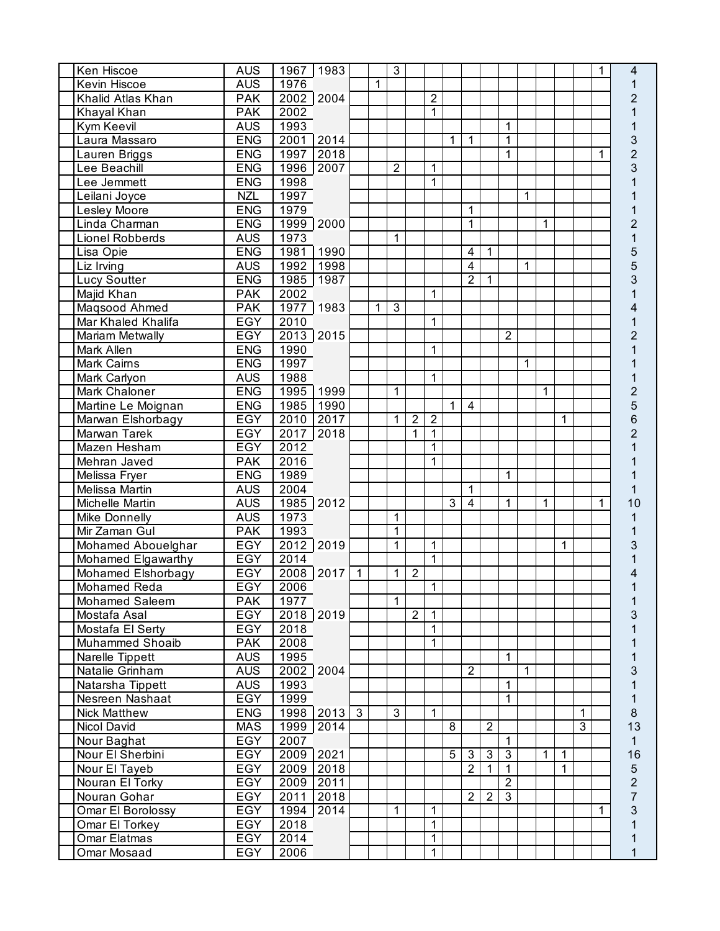| Ken Hiscoe                     | <b>AUS</b>        |                   | 1967 1983   |              |   | $\mathbf{3}$   |                |                |              |                |                |                |              |              |              |   | 1            | 4                                |
|--------------------------------|-------------------|-------------------|-------------|--------------|---|----------------|----------------|----------------|--------------|----------------|----------------|----------------|--------------|--------------|--------------|---|--------------|----------------------------------|
| Kevin Hiscoe                   | <b>AUS</b>        | 1976              |             |              | 1 |                |                |                |              |                |                |                |              |              |              |   |              | 1                                |
| Khalid Atlas Khan              | <b>PAK</b>        |                   | 2002 2004   |              |   |                |                | $\overline{2}$ |              |                |                |                |              |              |              |   |              | 2                                |
| Khayal Khan                    | <b>PAK</b>        | 2002              |             |              |   |                |                | 1              |              |                |                |                |              |              |              |   |              |                                  |
| Kym Keevil                     | <b>AUS</b>        | 1993              |             |              |   |                |                |                |              |                |                | 1              |              |              |              |   |              |                                  |
| Laura Massaro                  | <b>ENG</b>        |                   | 2001 2014   |              |   |                |                |                | 1            | 1              |                | 1              |              |              |              |   |              | 3                                |
| Lauren Briggs                  | <b>ENG</b>        | 1997              | 2018        |              |   |                |                |                |              |                |                | 1              |              |              |              |   | 1            | $\overline{2}$                   |
| Lee Beachill                   | <b>ENG</b>        |                   | 1996 2007   |              |   | $\overline{2}$ |                | 1              |              |                |                |                |              |              |              |   |              | 3                                |
| Lee Jemmett                    | <b>ENG</b>        | 1998              |             |              |   |                |                | 1              |              |                |                |                |              |              |              |   |              |                                  |
| Leilani Joyce                  | <b>NZL</b>        | 1997              |             |              |   |                |                |                |              |                |                |                | 1            |              |              |   |              |                                  |
| Lesley Moore                   | <b>ENG</b>        | 1979              |             |              |   |                |                |                |              | 1              |                |                |              |              |              |   |              |                                  |
| Linda Charman                  | <b>ENG</b>        |                   | 1999 2000   |              |   |                |                |                |              | 1              |                |                |              | 1            |              |   |              | 2                                |
| Lionel Robberds                | <b>AUS</b>        | 1973              |             |              |   | 1              |                |                |              |                |                |                |              |              |              |   |              | 1                                |
| Lisa Opie                      | <b>ENG</b>        | 1981              | 1990        |              |   |                |                |                |              | 4              | 1              |                |              |              |              |   |              | 5                                |
| Liz Irving                     | <b>AUS</b>        | 1992              | 1998        |              |   |                |                |                |              | 4              |                |                | 1            |              |              |   |              | 5                                |
| <b>Lucy Soutter</b>            | <b>ENG</b>        | 1985              | 1987        |              |   |                |                |                |              | $\overline{2}$ | 1              |                |              |              |              |   |              | 3                                |
| Majid Khan                     | <b>PAK</b>        | 2002              |             |              |   |                |                | 1              |              |                |                |                |              |              |              |   |              |                                  |
| Magsood Ahmed                  | <b>PAK</b>        | 1977              | 1983        |              | 1 | 3              |                |                |              |                |                |                |              |              |              |   |              |                                  |
| Mar Khaled Khalifa             | <b>EGY</b>        | $\overline{2010}$ |             |              |   |                |                | 1              |              |                |                |                |              |              |              |   |              |                                  |
| <b>Mariam Metwally</b>         | <b>EGY</b>        |                   | 2013 2015   |              |   |                |                |                |              |                |                | $\overline{2}$ |              |              |              |   |              | 2                                |
| Mark Allen                     | <b>ENG</b>        | 1990              |             |              |   |                |                | 1              |              |                |                |                |              |              |              |   |              |                                  |
| <b>Mark Cairns</b>             | <b>ENG</b>        | 1997              |             |              |   |                |                |                |              |                |                |                | 1            |              |              |   |              |                                  |
| Mark Carlyon                   | <b>AUS</b>        | 1988              |             |              |   |                |                | 1              |              |                |                |                |              |              |              |   |              |                                  |
| Mark Chaloner                  | <b>ENG</b>        | 1995              | 1999        |              |   | $\mathbf 1$    |                |                |              |                |                |                |              | 1            |              |   |              | $\overline{a}$                   |
| Martine Le Moignan             | <b>ENG</b>        | 1985              | 1990        |              |   |                |                |                | $\mathbf{1}$ | $\overline{4}$ |                |                |              |              |              |   |              | 5                                |
| Marwan Elshorbagy              | <b>EGY</b>        | 2010              | 2017        |              |   | 1              | $\overline{2}$ | $\overline{2}$ |              |                |                |                |              |              | $\mathbf 1$  |   |              | 6                                |
| Marwan Tarek                   | <b>EGY</b>        | 2017              | 2018        |              |   |                | $\overline{1}$ | 1              |              |                |                |                |              |              |              |   |              | $\overline{2}$                   |
| Mazen Hesham                   | <b>EGY</b>        | 2012              |             |              |   |                |                | $\mathbf{1}$   |              |                |                |                |              |              |              |   |              |                                  |
| Mehran Javed                   | <b>PAK</b>        | 2016              |             |              |   |                |                | 1              |              |                |                |                |              |              |              |   |              |                                  |
| Melissa Fryer                  | <b>ENG</b>        | 1989              |             |              |   |                |                |                |              |                |                | $\mathbf{1}$   |              |              |              |   |              |                                  |
| Melissa Martin                 | <b>AUS</b>        | 2004              |             |              |   |                |                |                |              | 1              |                |                |              |              |              |   |              |                                  |
| Michelle Martin                | <b>AUS</b>        |                   | 1985 2012   |              |   |                |                |                | 3            | 4              |                | 1              |              | $\mathbf{1}$ |              |   | $\mathbf{1}$ | 10                               |
| <b>Mike Donnelly</b>           | <b>AUS</b>        | 1973              |             |              |   | 1              |                |                |              |                |                |                |              |              |              |   |              |                                  |
| Mir Zaman Gul                  | <b>PAK</b>        | 1993              |             |              |   | 1              |                |                |              |                |                |                |              |              |              |   |              |                                  |
| Mohamed Abouelghar             | EGY               |                   | 2012 2019   |              |   | 1              |                | 1              |              |                |                |                |              |              | $\mathbf 1$  |   |              | 3                                |
| Mohamed Elgawarthy             | EGY               | 2014              |             |              |   |                |                | 1              |              |                |                |                |              |              |              |   |              |                                  |
| Mohamed Elshorbagy             | <b>EGY</b>        |                   | 2008 2017   | $\mathbf{1}$ |   | 1              | $\overline{2}$ |                |              |                |                |                |              |              |              |   |              |                                  |
| Mohamed Reda                   | <b>EGY</b>        | 2006              |             |              |   |                |                | $\overline{1}$ |              |                |                |                |              |              |              |   |              |                                  |
| Mohamed Saleem                 | <b>PAK</b>        | 1977              |             |              |   | 1              |                |                |              |                |                |                |              |              |              |   |              | 1                                |
| Mostafa Asal                   | EGY               |                   | $2018$ 2019 |              |   |                | $\overline{2}$ | 1              |              |                |                |                |              |              |              |   |              | 3                                |
| Mostafa El Serty               | EGY               | 2018              |             |              |   |                |                | 1              |              |                |                |                |              |              |              |   |              |                                  |
| Muhammed Shoaib                | <b>PAK</b>        | 2008              |             |              |   |                |                | 1              |              |                |                |                |              |              |              |   |              |                                  |
| Narelle Tippett                | <b>AUS</b>        | 1995              |             |              |   |                |                |                |              |                |                | 1              |              |              |              |   |              |                                  |
| Natalie Grinham                | <b>AUS</b>        |                   | 2002 2004   |              |   |                |                |                |              | $\overline{2}$ |                |                | $\mathbf{1}$ |              |              |   |              | 3                                |
| Natarsha Tippett               | <b>AUS</b>        | 1993              |             |              |   |                |                |                |              |                |                | 1              |              |              |              |   |              |                                  |
| Nesreen Nashaat                | EGY               | 1999              |             |              |   |                |                |                |              |                |                | 1              |              |              |              |   |              |                                  |
| <b>Nick Matthew</b>            | <b>ENG</b>        |                   | 1998 2013 3 |              |   | $\overline{3}$ |                | 1              |              |                |                |                |              |              |              | 1 |              | 8                                |
| Nicol David                    | <b>MAS</b>        |                   | 1999 2014   |              |   |                |                |                | 8            |                | $\overline{2}$ |                |              |              |              | 3 |              | 13                               |
| Nour Baghat                    | EGY               | 2007              |             |              |   |                |                |                |              |                |                | $\mathbf{1}$   |              |              |              |   |              | $\mathbf{1}$                     |
| Nour El Sherbini               | <b>EGY</b>        |                   | 2009 2021   |              |   |                |                |                | 5            | 3              | $\mathbf{3}$   | 3              |              | $\mathbf{1}$ | $\mathbf{1}$ |   |              | 16                               |
| Nour El Tayeb                  | EGY               |                   | 2009 2018   |              |   |                |                |                |              | $\overline{2}$ | $\mathbf{1}$   | $\mathbf{1}$   |              |              | 1            |   |              | $\mathbf 5$                      |
| Nouran El Torky                | <b>EGY</b>        |                   | 2009 2011   |              |   |                |                |                |              |                |                | $\overline{2}$ |              |              |              |   |              | $\overline{c}$<br>$\overline{7}$ |
| Nouran Gohar                   | <b>EGY</b>        |                   | 2011 2018   |              |   |                |                |                |              | $\overline{2}$ | $\overline{2}$ | $\overline{3}$ |              |              |              |   |              |                                  |
| Omar El Borolossy              | EGY               | 1994              | 2014        |              |   | 1              |                | 1              |              |                |                |                |              |              |              |   | 1            | 3                                |
| Omar El Torkey<br>Omar Elatmas | EGY<br><b>EGY</b> | 2018<br>2014      |             |              |   |                |                | 1              |              |                |                |                |              |              |              |   |              | 1                                |
|                                |                   |                   |             |              |   |                |                | 1              |              |                |                |                |              |              |              |   |              | 1                                |
| Omar Mosaad                    | EGY               | 2006              |             |              |   |                |                | 1              |              |                |                |                |              |              |              |   |              |                                  |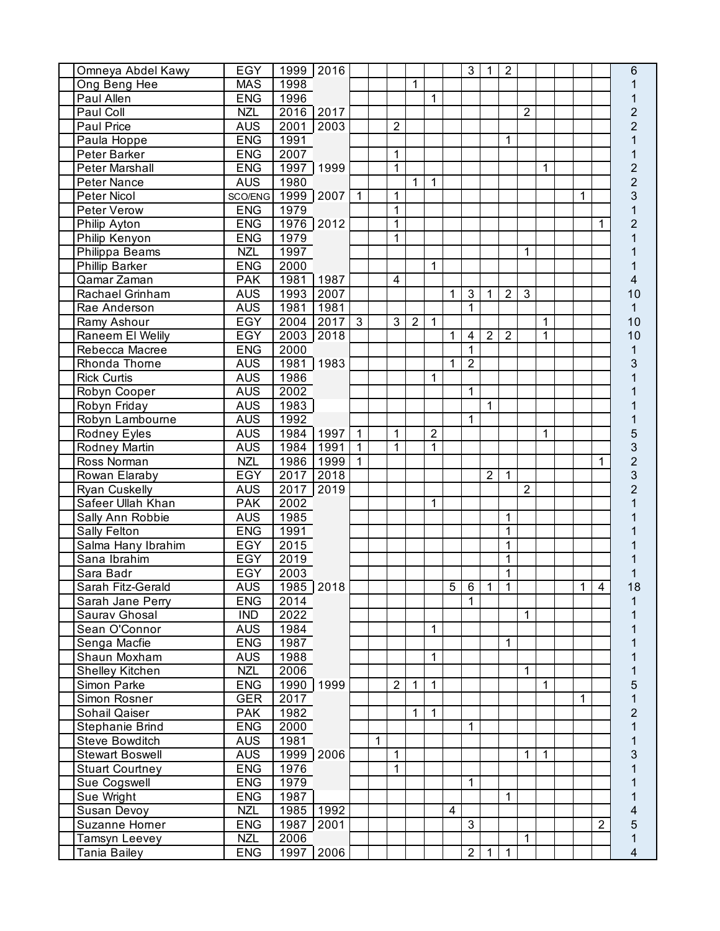| Omneya Abdel Kawy      | <b>EGY</b> |           | 1999 2016 |                |   |                |                |                |                         | $\mathbf{3}$   | $\mathbf 1$    | $\overline{2}$ |                |                |          |                | 6              |
|------------------------|------------|-----------|-----------|----------------|---|----------------|----------------|----------------|-------------------------|----------------|----------------|----------------|----------------|----------------|----------|----------------|----------------|
| Ong Beng Hee           | <b>MAS</b> | 1998      |           |                |   |                | 1              |                |                         |                |                |                |                |                |          |                |                |
| Paul Allen             | <b>ENG</b> | 1996      |           |                |   |                |                | 1              |                         |                |                |                |                |                |          |                |                |
| Paul Coll              | <b>NZL</b> |           | 2016 2017 |                |   |                |                |                |                         |                |                |                | $\overline{2}$ |                |          |                | $\overline{2}$ |
| Paul Price             | <b>AUS</b> | 2001      | 2003      |                |   | $\overline{2}$ |                |                |                         |                |                |                |                |                |          |                | $\overline{2}$ |
| Paula Hoppe            | <b>ENG</b> | 1991      |           |                |   |                |                |                |                         |                |                | 1              |                |                |          |                |                |
| Peter Barker           | <b>ENG</b> | 2007      |           |                |   | $\mathbf{1}$   |                |                |                         |                |                |                |                |                |          |                |                |
| Peter Marshall         | <b>ENG</b> |           | 1997 1999 |                |   | $\mathbf{1}$   |                |                |                         |                |                |                |                | 1              |          |                | $\overline{c}$ |
| Peter Nance            | <b>AUS</b> | 1980      |           |                |   |                | 1              | $\overline{1}$ |                         |                |                |                |                |                |          |                | $\overline{c}$ |
| Peter Nicol            | SCO/ENG    |           | 1999 2007 | $\mathbf{1}$   |   | 1              |                |                |                         |                |                |                |                |                | 1        |                | 3              |
| Peter Verow            | <b>ENG</b> | 1979      |           |                |   | $\mathbf{1}$   |                |                |                         |                |                |                |                |                |          |                |                |
| <b>Philip Ayton</b>    | <b>ENG</b> |           | 1976 2012 |                |   | 1              |                |                |                         |                |                |                |                |                |          | 1              | $\overline{2}$ |
| <b>Philip Kenyon</b>   | <b>ENG</b> | 1979      |           |                |   | 1              |                |                |                         |                |                |                |                |                |          |                |                |
| Philippa Beams         | <b>NZL</b> | 1997      |           |                |   |                |                |                |                         |                |                |                | 1              |                |          |                |                |
| <b>Phillip Barker</b>  | <b>ENG</b> | 2000      |           |                |   |                |                | 1              |                         |                |                |                |                |                |          |                |                |
| Qamar Zaman            | <b>PAK</b> | 1981      | 1987      |                |   | 4              |                |                |                         |                |                |                |                |                |          |                | 4              |
| Rachael Grinham        | <b>AUS</b> | 1993      | 2007      |                |   |                |                |                | 1                       | 3              | $\mathbf{1}$   | $\overline{2}$ | $\overline{3}$ |                |          |                | 10             |
| Rae Anderson           | <b>AUS</b> | 1981      | 1981      |                |   |                |                |                |                         | $\mathbf{1}$   |                |                |                |                |          |                | 1              |
| Ramy Ashour            | <b>EGY</b> | 2004      | 2017      | $\overline{3}$ |   | $\overline{3}$ | $\overline{2}$ | 1              |                         |                |                |                |                | 1              |          |                | 10             |
| Raneem El Welily       | EGY        | 2003      | 2018      |                |   |                |                |                | $\mathbf 1$             | $\overline{4}$ | $\overline{2}$ | $\overline{2}$ |                | $\mathbf{1}$   |          |                | 10             |
| Rebecca Macree         | <b>ENG</b> | 2000      |           |                |   |                |                |                |                         | $\mathbf{1}$   |                |                |                |                |          |                | 1              |
| Rhonda Thome           | <b>AUS</b> | 1981      | 1983      |                |   |                |                |                | 1                       | $\overline{2}$ |                |                |                |                |          |                | 3              |
| <b>Rick Curtis</b>     | <b>AUS</b> | 1986      |           |                |   |                |                | 1              |                         |                |                |                |                |                |          |                |                |
| Robyn Cooper           | <b>AUS</b> | 2002      |           |                |   |                |                |                |                         | 1              |                |                |                |                |          |                |                |
| Robyn Friday           | <b>AUS</b> | 1983      |           |                |   |                |                |                |                         |                | $\overline{1}$ |                |                |                |          |                |                |
| Robyn Lambourne        | <b>AUS</b> | 1992      |           |                |   |                |                |                |                         | 1              |                |                |                |                |          |                |                |
| Rodney Eyles           | <b>AUS</b> | 1984 1997 |           | $\mathbf{1}$   |   | $\mathbf{1}$   |                | $\overline{2}$ |                         |                |                |                |                | $\mathbf{1}$   |          |                |                |
| Rodney Martin          | <b>AUS</b> | 1984      | 1991      | $\vert$ 1      |   | $\mathbf{1}$   |                | 1              |                         |                |                |                |                |                |          |                | 3              |
| Ross Norman            | <b>NZL</b> | 1986      | 1999      | $\mathbf{1}$   |   |                |                |                |                         |                |                |                |                |                |          | 1              | $\overline{c}$ |
| Rowan Elaraby          | EGY        | 2017      | 2018      |                |   |                |                |                |                         |                | $\overline{2}$ | $\mathbf{1}$   |                |                |          |                | 3              |
| <b>Ryan Cuskelly</b>   | <b>AUS</b> | 2017      | 2019      |                |   |                |                |                |                         |                |                |                | $\overline{2}$ |                |          |                | $\overline{2}$ |
| Safeer Ullah Khan      | <b>PAK</b> | 2002      |           |                |   |                |                | 1              |                         |                |                |                |                |                |          |                |                |
| Sally Ann Robbie       | <b>AUS</b> | 1985      |           |                |   |                |                |                |                         |                |                | 1              |                |                |          |                |                |
| <b>Sally Felton</b>    | <b>ENG</b> | 1991      |           |                |   |                |                |                |                         |                |                | $\mathbf 1$    |                |                |          |                |                |
| Salma Hany Ibrahim     | EGY        | 2015      |           |                |   |                |                |                |                         |                |                | 1              |                |                |          |                |                |
| Sana Ibrahim           | EGY        | 2019      |           |                |   |                |                |                |                         |                |                | $\mathbf 1$    |                |                |          |                |                |
| Sara Badr              | <b>EGY</b> | 2003      |           |                |   |                |                |                |                         |                |                | $\mathbf 1$    |                |                |          |                |                |
| Sarah Fitz-Gerald      | <b>AUS</b> | 1985 2018 |           |                |   |                |                |                | $5\overline{1}$         |                | $6 \mid 1$     | $\overline{1}$ |                |                | $1 \mid$ | $\overline{4}$ | 18             |
| Sarah Jane Perry       | <b>ENG</b> | 2014      |           |                |   |                |                |                |                         | 1              |                |                |                |                |          |                | 1              |
| Saurav Ghosal          | <b>IND</b> | 2022      |           |                |   |                |                |                |                         |                |                |                | 1              |                |          |                |                |
| Sean O'Connor          | <b>AUS</b> | 1984      |           |                |   |                |                | 1              |                         |                |                |                |                |                |          |                |                |
| Senga Macfie           | <b>ENG</b> | 1987      |           |                |   |                |                |                |                         |                |                | 1              |                |                |          |                |                |
| Shaun Moxham           | <b>AUS</b> | 1988      |           |                |   |                |                | 1              |                         |                |                |                |                |                |          |                |                |
| Shelley Kitchen        | <b>NZL</b> | 2006      |           |                |   |                |                |                |                         |                |                |                | $\mathbf 1$    |                |          |                |                |
| Simon Parke            | <b>ENG</b> |           | 1990 1999 |                |   | $\overline{2}$ | $\mathbf{1}$   | $\mathbf{1}$   |                         |                |                |                |                | 1              |          |                | 5              |
| Simon Rosner           | <b>GER</b> | 2017      |           |                |   |                |                |                |                         |                |                |                |                |                | 1        |                | 1              |
| Sohail Qaiser          | <b>PAK</b> | 1982      |           |                |   |                | 1              | $\overline{1}$ |                         |                |                |                |                |                |          |                | $\overline{2}$ |
| Stephanie Brind        | <b>ENG</b> | 2000      |           |                |   |                |                |                |                         | 1              |                |                |                |                |          |                | 1              |
| Steve Bowditch         | <b>AUS</b> | 1981      |           |                | 1 |                |                |                |                         |                |                |                |                |                |          |                | 1              |
| <b>Stewart Boswell</b> | <b>AUS</b> |           | 1999 2006 |                |   | 1              |                |                |                         |                |                |                | $\mathbf 1$    | $\overline{1}$ |          |                | 3              |
| <b>Stuart Courtney</b> | <b>ENG</b> | 1976      |           |                |   | 1              |                |                |                         |                |                |                |                |                |          |                |                |
| Sue Cogswell           | <b>ENG</b> | 1979      |           |                |   |                |                |                |                         | 1              |                |                |                |                |          |                |                |
| Sue Wright             | <b>ENG</b> | 1987      |           |                |   |                |                |                |                         |                |                | 1              |                |                |          |                |                |
| Susan Devoy            | <b>NZL</b> | 1985      | 1992      |                |   |                |                |                | $\overline{\mathbf{4}}$ |                |                |                |                |                |          |                | 4              |
| Suzanne Homer          | <b>ENG</b> | 1987      | 2001      |                |   |                |                |                |                         | $\mathbf{3}$   |                |                |                |                |          | $\overline{2}$ | 5              |
| Tamsyn Leevey          | <b>NZL</b> | 2006      |           |                |   |                |                |                |                         |                |                |                | 1              |                |          |                | 1              |
| Tania Bailey           | <b>ENG</b> |           | 1997 2006 |                |   |                |                |                |                         | $\overline{2}$ | 1              | $\mathbf 1$    |                |                |          |                | 4              |